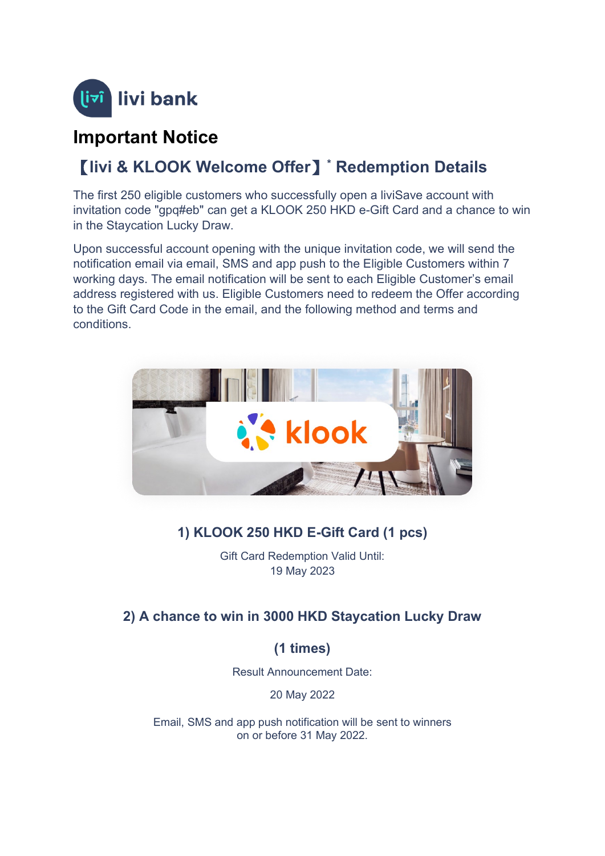

## **Important Notice**

# 【**livi & KLOOK Welcome Offer**】**\* Redemption Details**

The first 250 eligible customers who successfully open a liviSave account with invitation code "gpq#eb" can get a KLOOK 250 HKD e-Gift Card and a chance to win in the Staycation Lucky Draw.

Upon successful account opening with the unique invitation code, we will send the notification email via email, SMS and app push to the Eligible Customers within 7 working days. The email notification will be sent to each Eligible Customer's email address registered with us. Eligible Customers need to redeem the Offer according to the Gift Card Code in the email, and the following method and terms and conditions.



## **1) KLOOK 250 HKD E-Gift Card (1 pcs)**

Gift Card Redemption Valid Until: 19 May 2023

## **2) A chance to win in 3000 HKD Staycation Lucky Draw**

## **(1 times)**

Result Announcement Date:

20 May 2022

Email, SMS and app push notification will be sent to winners on or before 31 May 2022.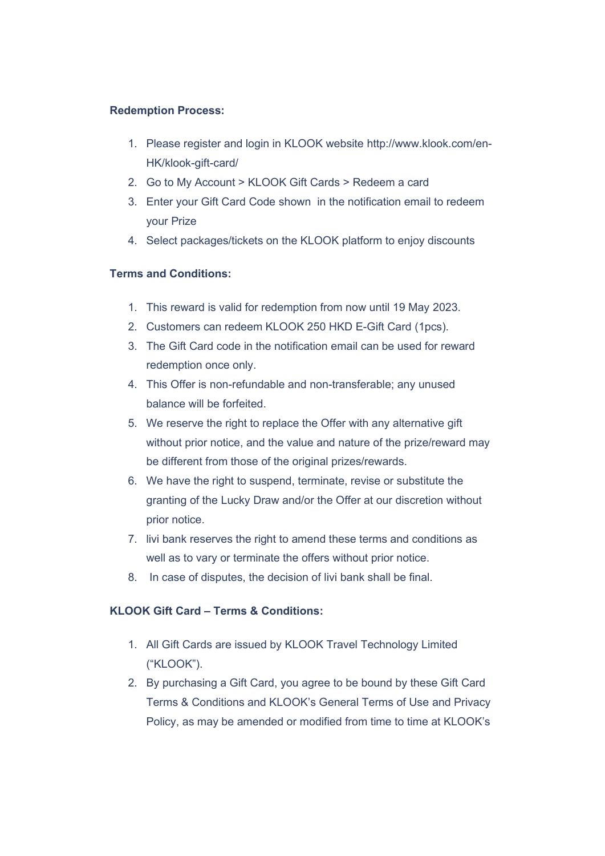#### **Redemption Process:**

- 1. Please register and login in KLOOK website http://www.klook.com/en-HK/klook-gift-card/
- 2. Go to My Account > KLOOK Gift Cards > Redeem a card
- 3. Enter your Gift Card Code shown in the notification email to redeem your Prize
- 4. Select packages/tickets on the KLOOK platform to enjoy discounts

### **Terms and Conditions:**

- 1. This reward is valid for redemption from now until 19 May 2023.
- 2. Customers can redeem KLOOK 250 HKD E-Gift Card (1pcs).
- 3. The Gift Card code in the notification email can be used for reward redemption once only.
- 4. This Offer is non-refundable and non-transferable; any unused balance will be forfeited.
- 5. We reserve the right to replace the Offer with any alternative gift without prior notice, and the value and nature of the prize/reward may be different from those of the original prizes/rewards.
- 6. We have the right to suspend, terminate, revise or substitute the granting of the Lucky Draw and/or the Offer at our discretion without prior notice.
- 7. livi bank reserves the right to amend these terms and conditions as well as to vary or terminate the offers without prior notice.
- 8. In case of disputes, the decision of livi bank shall be final.

### **KLOOK Gift Card – Terms & Conditions:**

- 1. All Gift Cards are issued by KLOOK Travel Technology Limited ("KLOOK").
- 2. By purchasing a Gift Card, you agree to be bound by these Gift Card Terms & Conditions and KLOOK's General Terms of Use and Privacy Policy, as may be amended or modified from time to time at KLOOK's